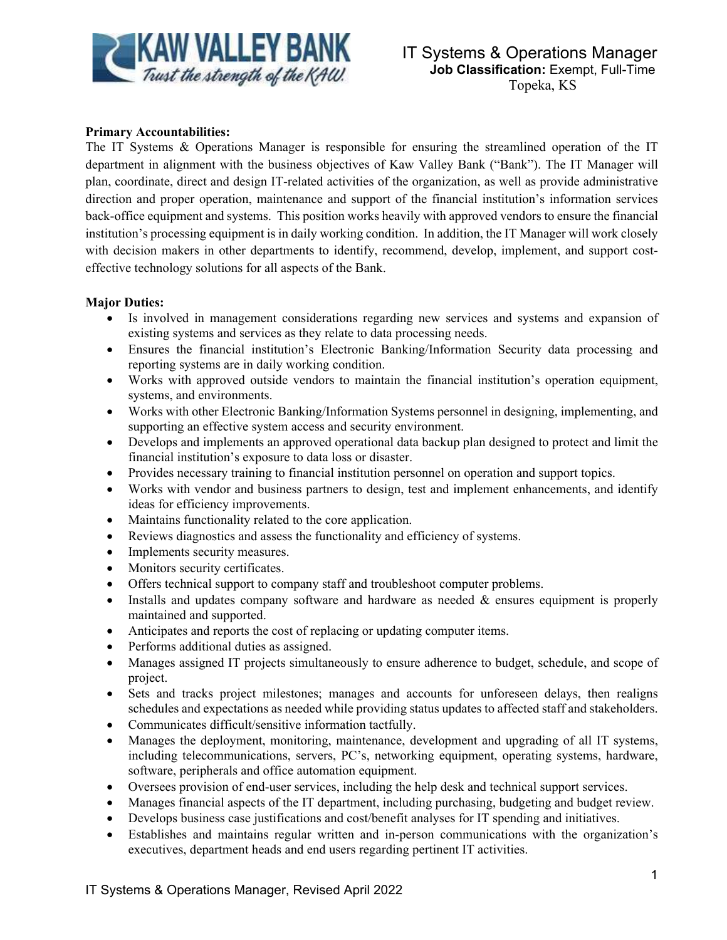

## **Primary Accountabilities:**

The IT Systems & Operations Manager is responsible for ensuring the streamlined operation of the IT department in alignment with the business objectives of Kaw Valley Bank ("Bank"). The IT Manager will plan, coordinate, direct and design IT-related activities of the organization, as well as provide administrative direction and proper operation, maintenance and support of the financial institution's information services back-office equipment and systems. This position works heavily with approved vendors to ensure the financial institution's processing equipment is in daily working condition. In addition, the IT Manager will work closely with decision makers in other departments to identify, recommend, develop, implement, and support costeffective technology solutions for all aspects of the Bank.

## **Major Duties:**

- Is involved in management considerations regarding new services and systems and expansion of existing systems and services as they relate to data processing needs.
- Ensures the financial institution's Electronic Banking/Information Security data processing and reporting systems are in daily working condition.
- Works with approved outside vendors to maintain the financial institution's operation equipment, systems, and environments.
- Works with other Electronic Banking/Information Systems personnel in designing, implementing, and supporting an effective system access and security environment.
- Develops and implements an approved operational data backup plan designed to protect and limit the financial institution's exposure to data loss or disaster.
- Provides necessary training to financial institution personnel on operation and support topics.
- Works with vendor and business partners to design, test and implement enhancements, and identify ideas for efficiency improvements.
- Maintains functionality related to the core application.
- Reviews diagnostics and assess the functionality and efficiency of systems.
- Implements security measures.
- Monitors security certificates.
- Offers technical support to company staff and troubleshoot computer problems.
- Installs and updates company software and hardware as needed & ensures equipment is properly maintained and supported.
- Anticipates and reports the cost of replacing or updating computer items.
- Performs additional duties as assigned.
- Manages assigned IT projects simultaneously to ensure adherence to budget, schedule, and scope of project.
- Sets and tracks project milestones; manages and accounts for unforeseen delays, then realigns schedules and expectations as needed while providing status updates to affected staff and stakeholders.
- Communicates difficult/sensitive information tactfully.
- Manages the deployment, monitoring, maintenance, development and upgrading of all IT systems, including telecommunications, servers, PC's, networking equipment, operating systems, hardware, software, peripherals and office automation equipment.
- Oversees provision of end-user services, including the help desk and technical support services.
- Manages financial aspects of the IT department, including purchasing, budgeting and budget review.
- Develops business case justifications and cost/benefit analyses for IT spending and initiatives.
- Establishes and maintains regular written and in-person communications with the organization's executives, department heads and end users regarding pertinent IT activities.